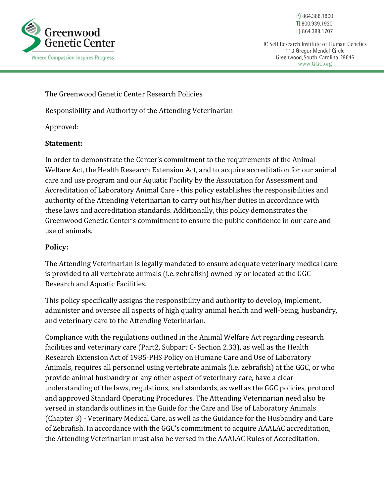

P) 864.388.1800 T) 800.939.1920 F) 864.388.1707

JC Self Research Institute of Human Genetics 113 Gregor Mendel Circle Greenwood, South Carolina 29646 www.GGC.org

The Greenwood Genetic Center Research Policies

Responsibility and Authority of the Attending Veterinarian

Approved:

## **Statement:**

In order to demonstrate the Center's commitment to the requirements of the Animal Welfare Act, the Health Research Extension Act, and to acquire accreditation for our animal care and use program and our Aquatic Facility by the Association for Assessment and Accreditation of Laboratory Animal Care - this policy establishes the responsibilities and authority of the Attending Veterinarian to carry out his/her duties in accordance with these laws and accreditation standards. Additionally, this policy demonstrates the Greenwood Genetic Center's commitment to ensure the public confidence in our care and use of animals.

## **Policy:**

The Attending Veterinarian is legally mandated to ensure adequate veterinary medical care is provided to all vertebrate animals (i.e. zebrafish) owned by or located at the GGC Research and Aquatic Facilities.

This policy specifically assigns the responsibility and authority to develop, implement, administer and oversee all aspects of high quality animal health and well-being, husbandry, and veterinary care to the Attending Veterinarian.

Compliance with the regulations outlined in the Animal Welfare Act regarding research facilities and veterinary care (Part2, Subpart C- Section 2.33), as well as the Health Research Extension Act of 1985-PHS Policy on Humane Care and Use of Laboratory Animals, requires all personnel using vertebrate animals (i.e. zebrafish) at the GGC, or who provide animal husbandry or any other aspect of veterinary care, have a clear understanding of the laws, regulations, and standards, as well as the GGC policies, protocol and approved Standard Operating Procedures. The Attending Veterinarian need also be versed in standards outlines in the Guide for the Care and Use of Laboratory Animals (Chapter 3) - Veterinary Medical Care, as well as the Guidance for the Husbandry and Care of Zebrafish. In accordance with the GGC's commitment to acquire AAALAC accreditation, the Attending Veterinarian must also be versed in the AAALAC Rules of Accreditation.